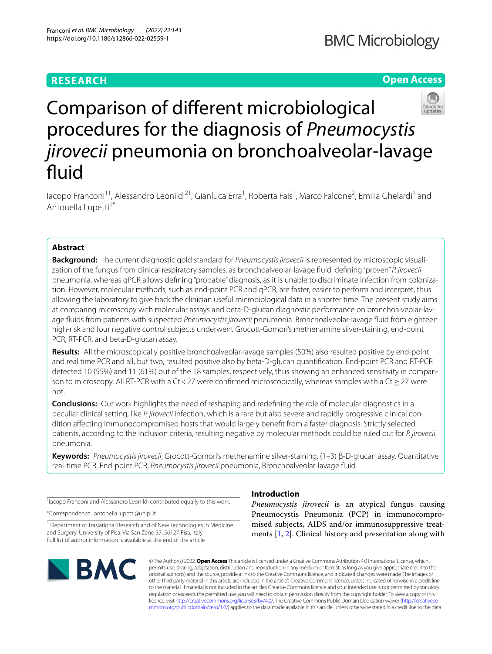## **RESEARCH**

# **BMC Microbiology**

## **Open Access**



# Comparison of diferent microbiological procedures for the diagnosis of *Pneumocystis jirovecii* pneumonia on bronchoalveolar-lavage fluid

lacopo Franconi<sup>1†</sup>, Alessandro Leonildi<sup>2†</sup>, Gianluca Erra<sup>1</sup>, Roberta Fais<sup>1</sup>, Marco Falcone<sup>2</sup>, Emilia Ghelardi<sup>1</sup> and Antonella Lupetti<sup>1\*</sup>

### **Abstract**

**Background:** The current diagnostic gold standard for *Pneumocystis jirovecii* is represented by microscopic visualization of the fungus from clinical respiratory samples, as bronchoalveolar-lavage fuid, defning "proven" *P. jirovecii* pneumonia, whereas qPCR allows defning "probable" diagnosis, as it is unable to discriminate infection from colonization. However, molecular methods, such as end-point PCR and qPCR, are faster, easier to perform and interpret, thus allowing the laboratory to give back the clinician useful microbiological data in a shorter time. The present study aims at comparing microscopy with molecular assays and beta-D-glucan diagnostic performance on bronchoalveolar-lavage fuids from patients with suspected *Pneumocystis jirovecii* pneumonia. Bronchoalveolar-lavage fuid from eighteen high-risk and four negative control subjects underwent Grocott-Gomori's methenamine silver-staining, end-point PCR, RT-PCR, and beta-D-glucan assay.

**Results:** All the microscopically positive bronchoalveolar-lavage samples (50%) also resulted positive by end-point and real time PCR and all, but two, resulted positive also by beta-D-glucan quantifcation. End-point PCR and RT-PCR detected 10 (55%) and 11 (61%) out of the 18 samples, respectively, thus showing an enhanced sensitivity in comparison to microscopy. All RT-PCR with a Ct < 27 were confirmed microscopically, whereas samples with a Ct ≥ 27 were not.

**Conclusions:** Our work highlights the need of reshaping and redefning the role of molecular diagnostics in a peculiar clinical setting, like *P. jirovecii* infection, which is a rare but also severe and rapidly progressive clinical condition afecting immunocompromised hosts that would largely beneft from a faster diagnosis. Strictly selected patients, according to the inclusion criteria, resulting negative by molecular methods could be ruled out for *P. jirovecii* pneumonia.

**Keywords:** *Pneumocystis jirovecii*, Grocott-Gomori's methenamine silver-staining, (1–3) β-D-glucan assay, Quantitative real-time PCR, End-point PCR, *Pneumocystis jirovecii* pneumonia, Bronchoalveolar-lavage fuid

† Iacopo Franconi and Alessandro Leonildi contributed equally to this work.

\*Correspondence: antonella.lupetti@unipi.it

<sup>1</sup> Department of Traslational Research and of New Technologies in Medicine and Surgery, University of Pisa, Via San Zeno 37, 56127 Pisa, Italy Full list of author information is available at the end of the article



### **Introduction**

*Pneumocystis jirovecii* is an atypical fungus causing Pneumocystis Pneumonia (PCP) in immunocompromised subjects, AIDS and/or immunosuppressive treatments [[1,](#page-4-0) [2](#page-4-1)]. Clinical history and presentation along with

© The Author(s) 2022. **Open Access** This article is licensed under a Creative Commons Attribution 4.0 International License, which permits use, sharing, adaptation, distribution and reproduction in any medium or format, as long as you give appropriate credit to the original author(s) and the source, provide a link to the Creative Commons licence, and indicate if changes were made. The images or other third party material in this article are included in the article's Creative Commons licence, unless indicated otherwise in a credit line to the material. If material is not included in the article's Creative Commons licence and your intended use is not permitted by statutory regulation or exceeds the permitted use, you will need to obtain permission directly from the copyright holder. To view a copy of this licence, visit [http://creativecommons.org/licenses/by/4.0/.](http://creativecommons.org/licenses/by/4.0/) The Creative Commons Public Domain Dedication waiver ([http://creativeco](http://creativecommons.org/publicdomain/zero/1.0/) [mmons.org/publicdomain/zero/1.0/](http://creativecommons.org/publicdomain/zero/1.0/)) applies to the data made available in this article, unless otherwise stated in a credit line to the data.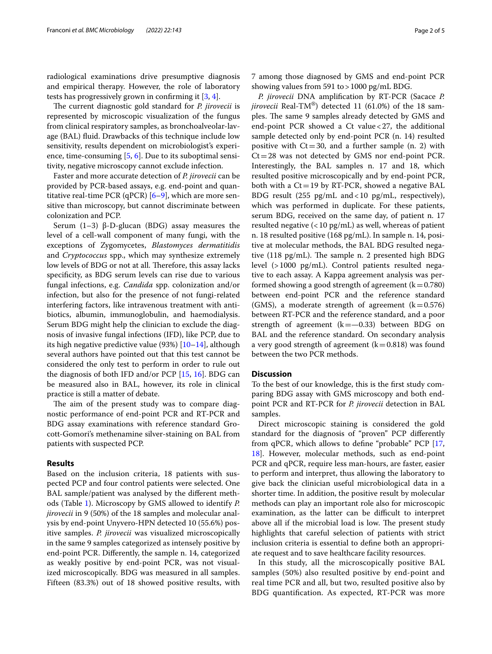radiological examinations drive presumptive diagnosis and empirical therapy. However, the role of laboratory tests has progressively grown in confrming it [\[3](#page-4-2), [4\]](#page-4-3).

The current diagnostic gold standard for *P. jirovecii* is represented by microscopic visualization of the fungus from clinical respiratory samples, as bronchoalveolar-lavage (BAL) fuid. Drawbacks of this technique include low sensitivity, results dependent on microbiologist's experience, time-consuming [\[5](#page-4-4), [6\]](#page-4-5). Due to its suboptimal sensitivity, negative microscopy cannot exclude infection.

Faster and more accurate detection of *P. jirovecii* can be provided by PCR-based assays, e.g. end-point and quantitative real-time PCR (qPCR)  $[6-9]$  $[6-9]$ , which are more sensitive than microscopy, but cannot discriminate between colonization and PCP.

Serum (1–3) β-D-glucan (BDG) assay measures the level of a cell-wall component of many fungi, with the exceptions of Zygomycetes, *Blastomyces dermatitidis* and *Cryptococcus* spp., which may synthesize extremely low levels of BDG or not at all. Therefore, this assay lacks specifcity, as BDG serum levels can rise due to various fungal infections, e.g. *Candida* spp. colonization and/or infection, but also for the presence of not fungi-related interfering factors, like intravenous treatment with antibiotics, albumin, immunoglobulin, and haemodialysis. Serum BDG might help the clinician to exclude the diagnosis of invasive fungal infections (IFD), like PCP, due to its high negative predictive value  $(93%)$  [[10–](#page-4-7)[14\]](#page-4-8), although several authors have pointed out that this test cannot be considered the only test to perform in order to rule out the diagnosis of both IFD and/or PCP [[15](#page-4-9), [16](#page-4-10)]. BDG can be measured also in BAL, however, its role in clinical practice is still a matter of debate.

The aim of the present study was to compare diagnostic performance of end-point PCR and RT-PCR and BDG assay examinations with reference standard Grocott-Gomori's methenamine silver-staining on BAL from patients with suspected PCP.

#### **Results**

Based on the inclusion criteria, 18 patients with suspected PCP and four control patients were selected. One BAL sample/patient was analysed by the diferent methods (Table [1](#page-2-0)). Microscopy by GMS allowed to identify *P. jirovecii* in 9 (50%) of the 18 samples and molecular analysis by end-point Unyvero-HPN detected 10 (55.6%) positive samples. *P. jirovecii* was visualized microscopically in the same 9 samples categorized as intensely positive by end-point PCR. Diferently, the sample n. 14, categorized as weakly positive by end-point PCR, was not visualized microscopically. BDG was measured in all samples. Fifteen (83.3%) out of 18 showed positive results, with 7 among those diagnosed by GMS and end-point PCR showing values from 591 to>1000 pg/mL BDG.

*P. jirovecii* DNA amplifcation by RT-PCR (Sacace *P. jirovecii* Real-TM®) detected 11 (61.0%) of the 18 samples. The same 9 samples already detected by GMS and end-point PCR showed a Ct value<27, the additional sample detected only by end-point PCR (n. 14) resulted positive with  $Ct=30$ , and a further sample (n. 2) with  $Ct=28$  was not detected by GMS nor end-point PCR. Interestingly, the BAL samples n. 17 and 18, which resulted positive microscopically and by end-point PCR, both with a  $Ct=19$  by RT-PCR, showed a negative BAL BDG result (255 pg/mL and<10 pg/mL, respectively), which was performed in duplicate. For these patients, serum BDG, received on the same day, of patient n. 17 resulted negative (<10 pg/mL) as well, whereas of patient n. 18 resulted positive (168 pg/mL). In sample n. 14, positive at molecular methods, the BAL BDG resulted negative  $(118 \text{ pg/mL})$ . The sample n. 2 presented high BDG level (>1000 pg/mL). Control patients resulted negative to each assay. A Kappa agreement analysis was performed showing a good strength of agreement  $(k=0.780)$ between end-point PCR and the reference standard (GMS), a moderate strength of agreement  $(k=0.576)$ between RT-PCR and the reference standard, and a poor strength of agreement  $(k=-0.33)$  between BDG on BAL and the reference standard. On secondary analysis a very good strength of agreement  $(k=0.818)$  was found between the two PCR methods.

#### **Discussion**

To the best of our knowledge, this is the frst study comparing BDG assay with GMS microscopy and both endpoint PCR and RT-PCR for *P. jirovecii* detection in BAL samples.

Direct microscopic staining is considered the gold standard for the diagnosis of "proven" PCP diferently from qPCR, which allows to defne "probable" PCP [[17](#page-4-11), [18\]](#page-4-12). However, molecular methods, such as end-point PCR and qPCR, require less man-hours, are faster, easier to perform and interpret, thus allowing the laboratory to give back the clinician useful microbiological data in a shorter time. In addition, the positive result by molecular methods can play an important role also for microscopic examination, as the latter can be difficult to interpret above all if the microbial load is low. The present study highlights that careful selection of patients with strict inclusion criteria is essential to defne both an appropriate request and to save healthcare facility resources.

In this study, all the microscopically positive BAL samples (50%) also resulted positive by end-point and real time PCR and all, but two, resulted positive also by BDG quantifcation. As expected, RT-PCR was more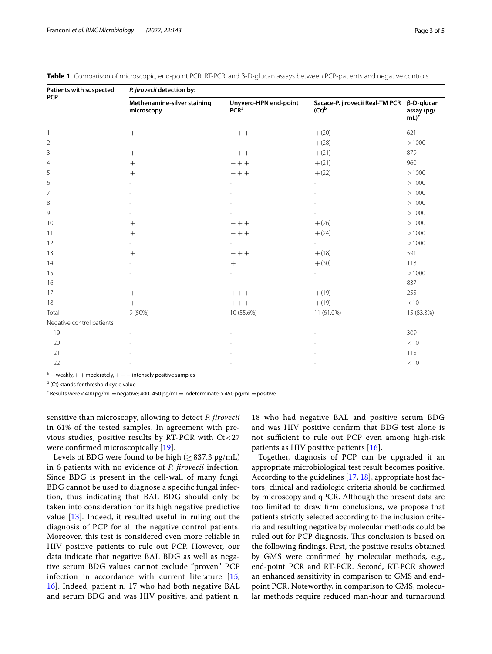| Patients with suspected<br><b>PCP</b> | P. jirovecii detection by:                |                                           |                                                        |                                 |  |  |  |
|---------------------------------------|-------------------------------------------|-------------------------------------------|--------------------------------------------------------|---------------------------------|--|--|--|
|                                       | Methenamine-silver staining<br>microscopy | Unyvero-HPN end-point<br>PCR <sup>a</sup> | Sacace-P. jirovecii Real-TM PCR β-D-glucan<br>$(Ct)^b$ | assay (pg/<br>$mL$ <sup>c</sup> |  |  |  |
|                                       | $+$                                       | $+++$                                     | $+(20)$                                                | 621                             |  |  |  |
| $\overline{2}$                        |                                           |                                           | $+ (28)$                                               | >1000                           |  |  |  |
| 3                                     | $+$                                       | $++$                                      | $+(21)$                                                | 879                             |  |  |  |
| $\overline{4}$                        | $^{+}$                                    | $++$                                      | $+(21)$                                                | 960                             |  |  |  |
| 5                                     | $^{+}$                                    | $+++$                                     | $+(22)$                                                | >1000                           |  |  |  |
| 6                                     |                                           |                                           | ٠                                                      | >1000                           |  |  |  |
| $\overline{7}$                        |                                           |                                           |                                                        | >1000                           |  |  |  |
| 8                                     |                                           |                                           |                                                        | >1000                           |  |  |  |
| 9                                     |                                           |                                           |                                                        | >1000                           |  |  |  |
| 10                                    | $^{+}$                                    | $++$                                      | $+(26)$                                                | >1000                           |  |  |  |
| 11                                    | $\! +$                                    | $+++$                                     | $+(24)$                                                | >1000                           |  |  |  |
| 12                                    |                                           |                                           | $\overline{\phantom{a}}$                               | >1000                           |  |  |  |
| 13                                    | $+$                                       | $++$                                      | $+ (18)$                                               | 591                             |  |  |  |
| 14                                    |                                           | $+$                                       | $+ (30)$                                               | 118                             |  |  |  |
| 15                                    |                                           |                                           |                                                        | >1000                           |  |  |  |
| 16                                    |                                           |                                           |                                                        | 837                             |  |  |  |
| 17                                    | $\! +$                                    | $++$                                      | $+(19)$                                                | 255                             |  |  |  |
| 18                                    | $\! +$                                    | $++$                                      | $+ (19)$                                               | < 10                            |  |  |  |
| Total                                 | $9(50\%)$                                 | 10 (55.6%)                                | 11 (61.0%)                                             | 15 (83.3%)                      |  |  |  |
| Negative control patients             |                                           |                                           |                                                        |                                 |  |  |  |
| 19                                    |                                           |                                           |                                                        | 309                             |  |  |  |
| 20                                    |                                           |                                           |                                                        | < 10                            |  |  |  |
| 21                                    |                                           |                                           |                                                        | 115                             |  |  |  |
| 22                                    |                                           |                                           |                                                        | < 10                            |  |  |  |

<span id="page-2-0"></span>

|  |  |  |  |  | Table 1 Comparison of microscopic, end-point PCR, RT-PCR, and β-D-glucan assays between PCP-patients and negative controls |  |  |
|--|--|--|--|--|----------------------------------------------------------------------------------------------------------------------------|--|--|
|--|--|--|--|--|----------------------------------------------------------------------------------------------------------------------------|--|--|

 $a +$ weakly, + + moderately, + + + intensely positive samples

<sup>b</sup> (Ct) stands for threshold cycle value

<sup>c</sup> Results were<400 pg/mL = negative; 400–450 pg/mL = indeterminate;>450 pg/mL = positive

sensitive than microscopy, allowing to detect *P. jirovecii* in 61% of the tested samples. In agreement with previous studies, positive results by RT-PCR with Ct < 27 were confrmed microscopically [[19](#page-4-13)].

Levels of BDG were found to be high ( $\geq$  837.3 pg/mL) in 6 patients with no evidence of *P. jirovecii* infection. Since BDG is present in the cell-wall of many fungi, BDG cannot be used to diagnose a specifc fungal infection, thus indicating that BAL BDG should only be taken into consideration for its high negative predictive value [[13](#page-4-14)]. Indeed, it resulted useful in ruling out the diagnosis of PCP for all the negative control patients. Moreover, this test is considered even more reliable in HIV positive patients to rule out PCP. However, our data indicate that negative BAL BDG as well as negative serum BDG values cannot exclude "proven" PCP infection in accordance with current literature [\[15](#page-4-9), [16\]](#page-4-10). Indeed, patient n. 17 who had both negative BAL and serum BDG and was HIV positive, and patient n.

18 who had negative BAL and positive serum BDG and was HIV positive confrm that BDG test alone is not sufficient to rule out PCP even among high-risk patients as HIV positive patients [[16\]](#page-4-10).

Together, diagnosis of PCP can be upgraded if an appropriate microbiological test result becomes positive. According to the guidelines [[17,](#page-4-11) [18](#page-4-12)], appropriate host factors, clinical and radiologic criteria should be confrmed by microscopy and qPCR. Although the present data are too limited to draw frm conclusions, we propose that patients strictly selected according to the inclusion criteria and resulting negative by molecular methods could be ruled out for PCP diagnosis. This conclusion is based on the following fndings. First, the positive results obtained by GMS were confrmed by molecular methods, e.g., end-point PCR and RT-PCR. Second, RT-PCR showed an enhanced sensitivity in comparison to GMS and endpoint PCR. Noteworthy, in comparison to GMS, molecular methods require reduced man-hour and turnaround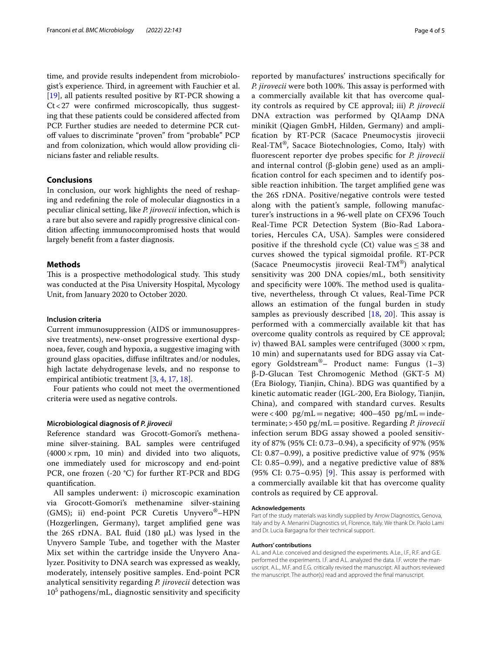time, and provide results independent from microbiologist's experience. Third, in agreement with Fauchier et al. [[19\]](#page-4-13), all patients resulted positive by RT-PCR showing a  $Ct < 27$  were confirmed microscopically, thus suggesting that these patients could be considered afected from PCP. Further studies are needed to determine PCR cutoff values to discriminate "proven" from "probable" PCP and from colonization, which would allow providing clinicians faster and reliable results.

#### **Conclusions**

In conclusion, our work highlights the need of reshaping and redefning the role of molecular diagnostics in a peculiar clinical setting, like *P. jirovecii* infection, which is a rare but also severe and rapidly progressive clinical condition afecting immunocompromised hosts that would largely beneft from a faster diagnosis.

#### **Methods**

This is a prospective methodological study. This study was conducted at the Pisa University Hospital, Mycology Unit, from January 2020 to October 2020.

#### **Inclusion criteria**

Current immunosuppression (AIDS or immunosuppressive treatments), new-onset progressive exertional dyspnoea, fever, cough and hypoxia, a suggestive imaging with ground glass opacities, difuse infltrates and/or nodules, high lactate dehydrogenase levels, and no response to empirical antibiotic treatment [[3,](#page-4-2) [4](#page-4-3), [17](#page-4-11), [18\]](#page-4-12).

Four patients who could not meet the overmentioned criteria were used as negative controls.

#### **Microbiological diagnosis of** *P. jirovecii*

Reference standard was Grocott-Gomori's methenamine silver-staining. BAL samples were centrifuged  $(4000 \times rpm, 10 \text{ min})$  and divided into two aliquots, one immediately used for microscopy and end-point PCR, one frozen (-20 °C) for further RT-PCR and BDG quantifcation.

All samples underwent: i) microscopic examination via Grocott-Gomori's methenamine silver-staining (GMS); ii) end-point PCR Curetis Unyvero®–HPN (Hozgerlingen, Germany), target amplifed gene was the 26S rDNA. BAL fuid (180 µL) was lysed in the Unyvero Sample Tube, and together with the Master Mix set within the cartridge inside the Unyvero Analyzer. Positivity to DNA search was expressed as weakly, moderately, intensely positive samples. End-point PCR analytical sensitivity regarding *P. jirovecii* detection was  $10^5$  pathogens/mL, diagnostic sensitivity and specificity reported by manufactures' instructions specifcally for *P. jirovecii* were both 100%. This assay is performed with a commercially available kit that has overcome quality controls as required by CE approval; iii) *P. jirovecii* DNA extraction was performed by QIAamp DNA minikit (Qiagen GmbH, Hilden, Germany) and amplifcation by RT-PCR (Sacace Pneumocystis jirovecii Real-TM®, Sacace Biotechnologies, Como, Italy) with fuorescent reporter dye probes specifc for *P. jirovecii* and internal control (β-globin gene) used as an amplifcation control for each specimen and to identify possible reaction inhibition. The target amplified gene was the 26S rDNA. Positive/negative controls were tested along with the patient's sample, following manufacturer's instructions in a 96-well plate on CFX96 Touch Real-Time PCR Detection System (Bio-Rad Laboratories, Hercules CA, USA). Samples were considered positive if the threshold cycle (Ct) value was  $\leq$  38 and curves showed the typical sigmoidal profle. RT-PCR (Sacace Pneumocystis jirovecii Real-TM®) analytical sensitivity was 200 DNA copies/mL, both sensitivity and specificity were 100%. The method used is qualitative, nevertheless, through Ct values, Real-Time PCR allows an estimation of the fungal burden in study samples as previously described  $[18, 20]$  $[18, 20]$  $[18, 20]$ . This assay is performed with a commercially available kit that has overcome quality controls as required by CE approval; iv) thawed BAL samples were centrifuged  $(3000 \times rpm)$ , 10 min) and supernatants used for BDG assay via Category Goldstream®– Product name: Fungus (1–3) β-D-Glucan Test Chromogenic Method (GKT-5 M) (Era Biology, Tianjin, China). BDG was quantifed by a kinetic automatic reader (IGL-200, Era Biology, Tianjin, China), and compared with standard curves. Results were < 400  $pg/mL = negative$ ; 400–450  $pg/mL = inde$ terminate; > 450 pg/mL=positive. Regarding *P. jirovecii* infection serum BDG assay showed a pooled sensitivity of 87% (95% CI: 0.73–0.94), a specifcity of 97% (95% CI: 0.87–0.99), a positive predictive value of 97% (95% CI: 0.85–0.99), and a negative predictive value of 88% (95% CI: 0.75–0.95) [[9\]](#page-4-6). This assay is performed with a commercially available kit that has overcome quality controls as required by CE approval.

#### **Acknowledgements**

Part of the study materials was kindly supplied by Arrow Diagnostics, Genova, Italy and by A. Menarini Diagnostics srl, Florence, Italy. We thank Dr. Paolo Lami and Dr. Lucia Bargagna for their technical support.

#### **Authors' contributions**

A.L. and A.Le. conceived and designed the experiments. A.Le., I.F., R.F. and G.E. performed the experiments. I.F. and A.L. analyzed the data. I.F. wrote the manuscript. A.L., M.F. and E.G. critically revised the manuscript. All authors reviewed the manuscript. The author(s) read and approved the fnal manuscript.